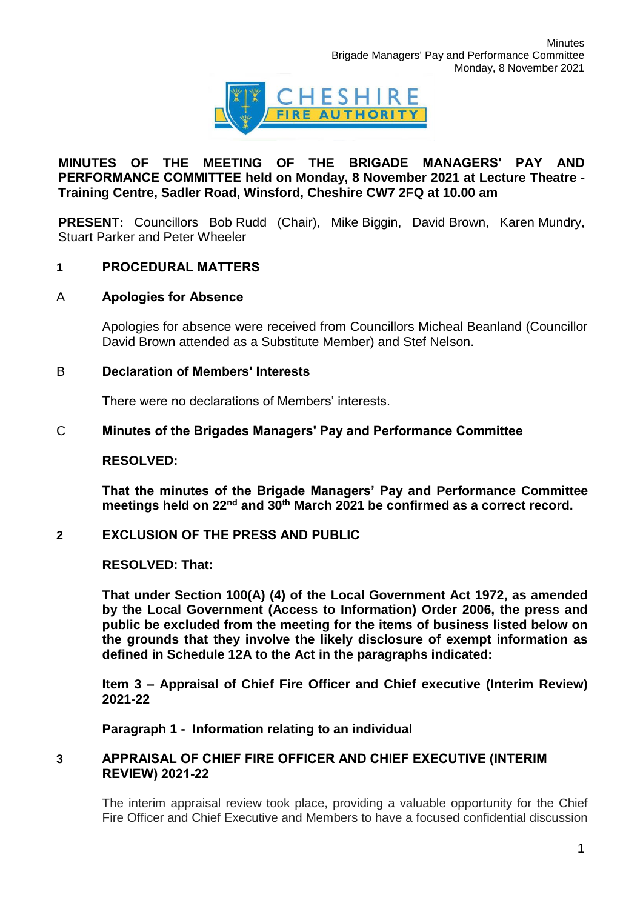

# **MINUTES OF THE MEETING OF THE BRIGADE MANAGERS' PAY AND PERFORMANCE COMMITTEE held on Monday, 8 November 2021 at Lecture Theatre - Training Centre, Sadler Road, Winsford, Cheshire CW7 2FQ at 10.00 am**

**PRESENT:** Councillors Bob Rudd (Chair), Mike Biggin, David Brown, Karen Mundry, Stuart Parker and Peter Wheeler

# **1 PROCEDURAL MATTERS**

# A **Apologies for Absence**

Apologies for absence were received from Councillors Micheal Beanland (Councillor David Brown attended as a Substitute Member) and Stef Nelson.

### B **Declaration of Members' Interests**

There were no declarations of Members' interests.

# C **Minutes of the Brigades Managers' Pay and Performance Committee**

### **RESOLVED:**

**That the minutes of the Brigade Managers' Pay and Performance Committee meetings held on 22nd and 30th March 2021 be confirmed as a correct record.**

#### **2 EXCLUSION OF THE PRESS AND PUBLIC**

### **RESOLVED: That:**

**That under Section 100(A) (4) of the Local Government Act 1972, as amended by the Local Government (Access to Information) Order 2006, the press and public be excluded from the meeting for the items of business listed below on the grounds that they involve the likely disclosure of exempt information as defined in Schedule 12A to the Act in the paragraphs indicated:**

**Item 3 – Appraisal of Chief Fire Officer and Chief executive (Interim Review) 2021-22**

**Paragraph 1 - Information relating to an individual**

### **3 APPRAISAL OF CHIEF FIRE OFFICER AND CHIEF EXECUTIVE (INTERIM REVIEW) 2021-22**

The interim appraisal review took place, providing a valuable opportunity for the Chief Fire Officer and Chief Executive and Members to have a focused confidential discussion